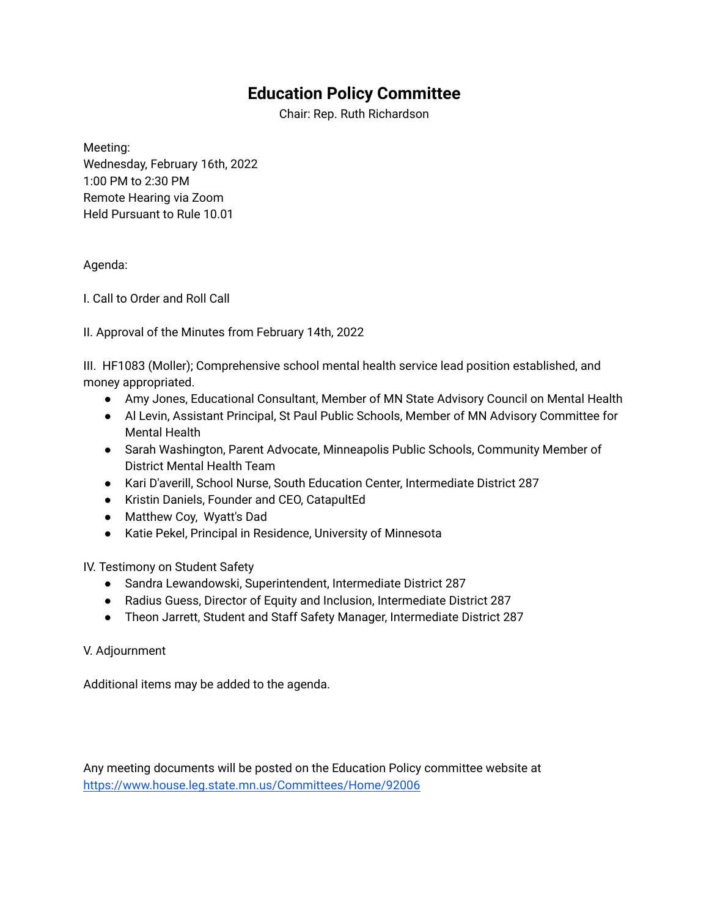## **Education Policy Committee**

Chair: Rep. Ruth Richardson

Meeting: Wednesday, February 16th, 2022 1:00 PM to 2:30 PM Remote Hearing via Zoom Held Pursuant to Rule 10.01

## Agenda:

I. Call to Order and Roll Call

II. Approval of the Minutes from February 14th, 2022

III. HF1083 (Moller); Comprehensive school mental health service lead position established, and money appropriated.

- Amy Jones, Educational Consultant, Member of MN State Advisory Council on Mental Health
- Al Levin, Assistant Principal, St Paul Public Schools, Member of MN Advisory Committee for Mental Health
- Sarah Washington, Parent Advocate, Minneapolis Public Schools, Community Member of District Mental Health Team
- Kari D'averill, School Nurse, South Education Center, Intermediate District 287
- Kristin Daniels, Founder and CEO, CatapultEd
- Matthew Coy, Wyatt's Dad
- Katie Pekel, Principal in Residence, University of Minnesota

IV. Testimony on Student Safety

- Sandra Lewandowski, Superintendent, Intermediate District 287
- Radius Guess, Director of Equity and Inclusion, Intermediate District 287
- Theon Jarrett, Student and Staff Safety Manager, Intermediate District 287

## V. Adjournment

Additional items may be added to the agenda.

Any meeting documents will be posted on the Education Policy committee website at <https://www.house.leg.state.mn.us/Committees/Home/92006>